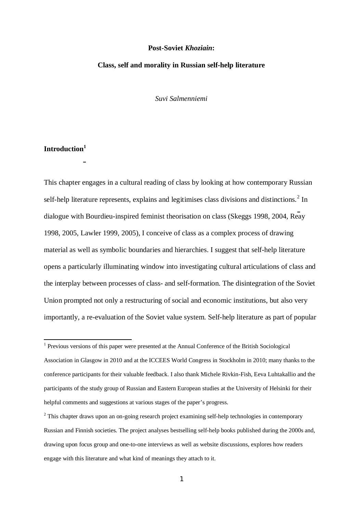#### **Post-Soviet** *Khoziain***:**

#### **Class, self and morality in Russian self-help literature**

*Suvi Salmenniemi* 

# **Introduction[1](#page-0-0)**

 $\overline{\phantom{a}}$ 

This chapter engages in a cultural reading of class by looking at how contemporary Russian self-help literature represents, explains and legitimises class divisions and distinctions.<sup>[2](#page-0-1)</sup> In dialogue with Bourdieu-inspired feminist theorisation on class (Skeggs 1998, 2004, Reay 1998, 2005, Lawler 1999, 2005), I conceive of class as a complex process of drawing material as well as symbolic boundaries and hierarchies. I suggest that self-help literature opens a particularly illuminating window into investigating cultural articulations of class and the interplay between processes of class- and self-formation. The disintegration of the Soviet Union prompted not only a restructuring of social and economic institutions, but also very importantly, a re-evaluation of the Soviet value system. Self-help literature as part of popular

<span id="page-0-0"></span><sup>1</sup> Previous versions of this paper were presented at the Annual Conference of the British Sociological Association in Glasgow in 2010 and at the ICCEES World Congress in Stockholm in 2010; many thanks to the conference participants for their valuable feedback. I also thank Michele Rivkin-Fish, Eeva Luhtakallio and the participants of the study group of Russian and Eastern European studies at the University of Helsinki for their helpful comments and suggestions at various stages of the paper's progress.

<span id="page-0-1"></span> $2$  This chapter draws upon an on-going research project examining self-help technologies in contemporary Russian and Finnish societies. The project analyses bestselling self-help books published during the 2000s and, drawing upon focus group and one-to-one interviews as well as website discussions, explores how readers engage with this literature and what kind of meanings they attach to it.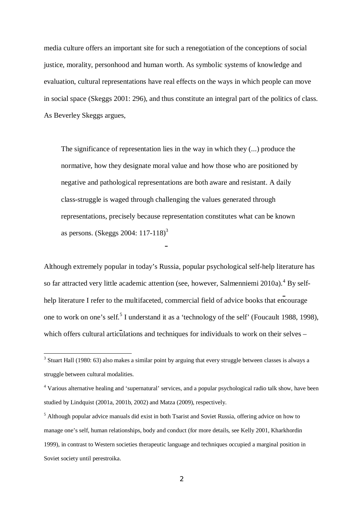media culture offers an important site for such a renegotiation of the conceptions of social justice, morality, personhood and human worth. As symbolic systems of knowledge and evaluation, cultural representations have real effects on the ways in which people can move in social space (Skeggs 2001: 296), and thus constitute an integral part of the politics of class. As Beverley Skeggs argues,

The significance of representation lies in the way in which they (...) produce the normative, how they designate moral value and how those who are positioned by negative and pathological representations are both aware and resistant. A daily class-struggle is waged through challenging the values generated through representations, precisely because representation constitutes what can be known as persons. (Skeggs 2004:  $117-118$ <sup>[3](#page-1-0)</sup>

Although extremely popular in today's Russia, popular psychological self-help literature has so far attracted very little academic attention (see, however, Salmenniemi 2010a).<sup>[4](#page-1-1)</sup> By selfhelp literature I refer to the multifaceted, commercial field of advice books that encourage one to work on one's self.<sup>[5](#page-1-2)</sup> I understand it as a 'technology of the self' (Foucault 1988, 1998), which offers cultural articulations and techniques for individuals to work on their selves –

<span id="page-1-0"></span><sup>&</sup>lt;sup>3</sup> Stuart Hall (1980: 63) also makes a similar point by arguing that every struggle between classes is always a struggle between cultural modalities.

<span id="page-1-1"></span><sup>&</sup>lt;sup>4</sup> Various alternative healing and 'supernatural' services, and a popular psychological radio talk show, have been studied by Lindquist (2001a, 2001b, 2002) and Matza (2009), respectively.

<span id="page-1-2"></span><sup>&</sup>lt;sup>5</sup> Although popular advice manuals did exist in both Tsarist and Soviet Russia, offering advice on how to manage one's self, human relationships, body and conduct (for more details, see Kelly 2001, Kharkhordin 1999), in contrast to Western societies therapeutic language and techniques occupied a marginal position in Soviet society until perestroika.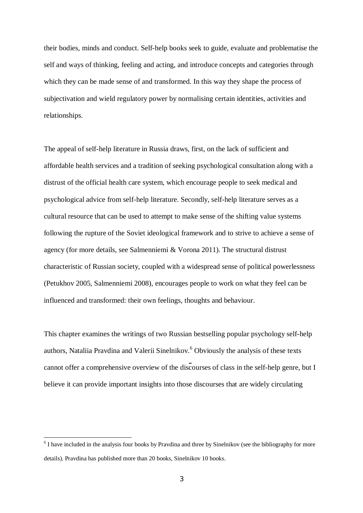their bodies, minds and conduct. Self-help books seek to guide, evaluate and problematise the self and ways of thinking, feeling and acting, and introduce concepts and categories through which they can be made sense of and transformed. In this way they shape the process of subjectivation and wield regulatory power by normalising certain identities, activities and relationships.

The appeal of self-help literature in Russia draws, first, on the lack of sufficient and affordable health services and a tradition of seeking psychological consultation along with a distrust of the official health care system, which encourage people to seek medical and psychological advice from self-help literature. Secondly, self-help literature serves as a cultural resource that can be used to attempt to make sense of the shifting value systems following the rupture of the Soviet ideological framework and to strive to achieve a sense of agency (for more details, see Salmenniemi & Vorona 2011). The structural distrust characteristic of Russian society, coupled with a widespread sense of political powerlessness (Petukhov 2005, Salmenniemi 2008), encourages people to work on what they feel can be influenced and transformed: their own feelings, thoughts and behaviour.

This chapter examines the writings of two Russian bestselling popular psychology self-help authors, Nataliia Pravdina and Valerii Sinelnikov.<sup>[6](#page-2-0)</sup> Obviously the analysis of these texts cannot offer a comprehensive overview of the discourses of class in the self-help genre, but I believe it can provide important insights into those discourses that are widely circulating

<span id="page-2-0"></span><sup>&</sup>lt;sup>6</sup> I have included in the analysis four books by Pravdina and three by Sinelnikov (see the bibliography for more details). Pravdina has published more than 20 books, Sinelnikov 10 books.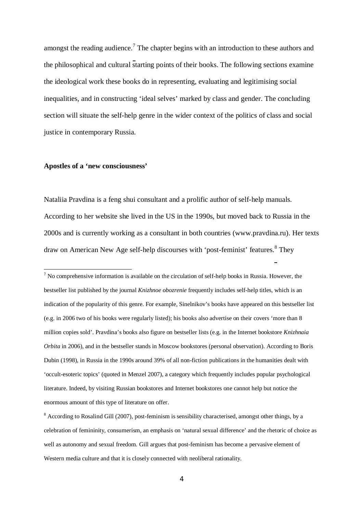amongst the reading audience.<sup>[7](#page-3-0)</sup> The chapter begins with an introduction to these authors and the philosophical and cultural starting points of their books. The following sections examine the ideological work these books do in representing, evaluating and legitimising social inequalities, and in constructing 'ideal selves' marked by class and gender. The concluding section will situate the self-help genre in the wider context of the politics of class and social justice in contemporary Russia.

### **Apostles of a 'new consciousness'**

Nataliia Pravdina is a feng shui consultant and a prolific author of self-help manuals. According to her website she lived in the US in the 1990s, but moved back to Russia in the 2000s and is currently working as a consultant in both countries (www.pravdina.ru). Her texts draw on American New Age self-help discourses with 'post-feminist' features.<sup>[8](#page-3-1)</sup> They

<span id="page-3-0"></span> $\overline{a}$  No comprehensive information is available on the circulation of self-help books in Russia. However, the bestseller list published by the journal *Knizhnoe obozrenie* frequently includes self-help titles, which is an indication of the popularity of this genre. For example, Sinelnikov's books have appeared on this bestseller list (e.g. in 2006 two of his books were regularly listed); his books also advertise on their covers 'more than 8 million copies sold'. Pravdina's books also figure on bestseller lists (e.g. in the Internet bookstore *Knizhnaia Orbita* in 2006), and in the bestseller stands in Moscow bookstores (personal observation). According to Boris Dubin (1998), in Russia in the 1990s around 39% of all non-fiction publications in the humanities dealt with 'occult-esoteric topics' (quoted in Menzel 2007), a category which frequently includes popular psychological literature. Indeed, by visiting Russian bookstores and Internet bookstores one cannot help but notice the enormous amount of this type of literature on offer.

<span id="page-3-1"></span><sup>&</sup>lt;sup>8</sup> According to Rosalind Gill (2007), post-feminism is sensibility characterised, amongst other things, by a celebration of femininity, consumerism, an emphasis on 'natural sexual difference' and the rhetoric of choice as well as autonomy and sexual freedom. Gill argues that post-feminism has become a pervasive element of Western media culture and that it is closely connected with neoliberal rationality.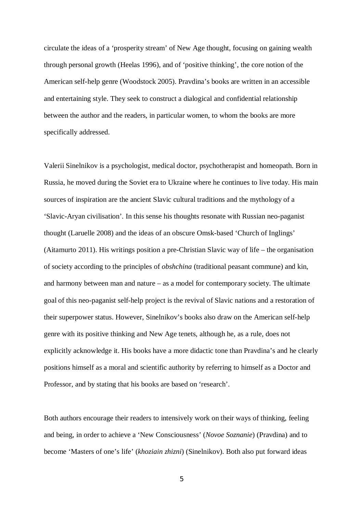circulate the ideas of a 'prosperity stream' of New Age thought, focusing on gaining wealth through personal growth (Heelas 1996), and of 'positive thinking', the core notion of the American self-help genre (Woodstock 2005). Pravdina's books are written in an accessible and entertaining style. They seek to construct a dialogical and confidential relationship between the author and the readers, in particular women, to whom the books are more specifically addressed.

Valerii Sinelnikov is a psychologist, medical doctor, psychotherapist and homeopath. Born in Russia, he moved during the Soviet era to Ukraine where he continues to live today. His main sources of inspiration are the ancient Slavic cultural traditions and the mythology of a 'Slavic-Aryan civilisation'. In this sense his thoughts resonate with Russian neo-paganist thought (Laruelle 2008) and the ideas of an obscure Omsk-based 'Church of Inglings' (Aitamurto 2011). His writings position a pre-Christian Slavic way of life – the organisation of society according to the principles of *obshchina* (traditional peasant commune) and kin, and harmony between man and nature – as a model for contemporary society. The ultimate goal of this neo-paganist self-help project is the revival of Slavic nations and a restoration of their superpower status. However, Sinelnikov's books also draw on the American self-help genre with its positive thinking and New Age tenets, although he, as a rule, does not explicitly acknowledge it. His books have a more didactic tone than Pravdina's and he clearly positions himself as a moral and scientific authority by referring to himself as a Doctor and Professor, and by stating that his books are based on 'research'.

Both authors encourage their readers to intensively work on their ways of thinking, feeling and being, in order to achieve a 'New Consciousness' (*Novoe Soznanie*) (Pravdina) and to become 'Masters of one's life' (*khoziain zhizni*) (Sinelnikov). Both also put forward ideas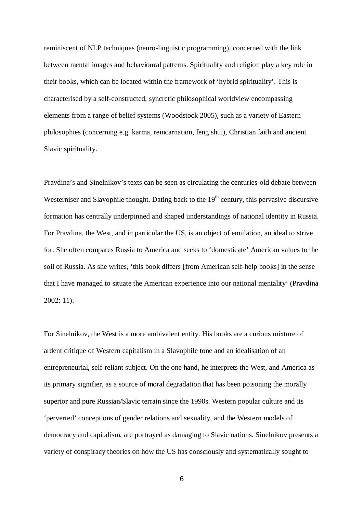reminiscent of NLP techniques (neuro-linguistic programming), concerned with the link between mental images and behavioural patterns. Spirituality and religion play a key role in their books, which can be located within the framework of 'hybrid spirituality'. This is characterised by a self-constructed, syncretic philosophical worldview encompassing elements from a range of belief systems (Woodstock 2005), such as a variety of Eastern philosophies (concerning e.g. karma, reincarnation, feng shui), Christian faith and ancient Slavic spirituality.

Pravdina's and Sinelnikov's texts can be seen as circulating the centuries-old debate between Westerniser and Slavophile thought. Dating back to the  $19<sup>th</sup>$  century, this pervasive discursive formation has centrally underpinned and shaped understandings of national identity in Russia. For Pravdina, the West, and in particular the US, is an object of emulation, an ideal to strive for. She often compares Russia to America and seeks to 'domesticate' American values to the soil of Russia. As she writes, 'this book differs [from American self-help books] in the sense that I have managed to situate the American experience into our national mentality' (Pravdina 2002: 11).

For Sinelnikov, the West is a more ambivalent entity. His books are a curious mixture of ardent critique of Western capitalism in a Slavophile tone and an idealisation of an entrepreneurial, self-reliant subject. On the one hand, he interprets the West, and America as its primary signifier, as a source of moral degradation that has been poisoning the morally superior and pure Russian/Slavic terrain since the 1990s. Western popular culture and its 'perverted' conceptions of gender relations and sexuality, and the Western models of democracy and capitalism, are portrayed as damaging to Slavic nations. Sinelnikov presents a variety of conspiracy theories on how the US has consciously and systematically sought to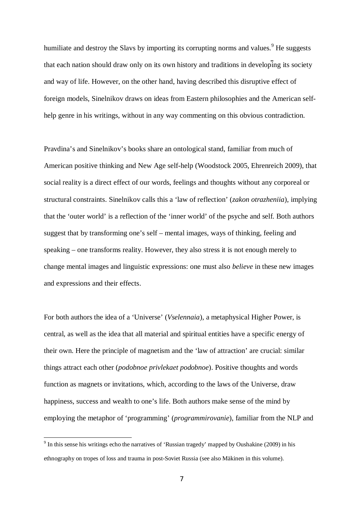humiliate and destroy the Slavs by importing its corrupting norms and values.<sup>[9](#page-6-0)</sup> He suggests that each nation should draw only on its own history and traditions in developing its society and way of life. However, on the other hand, having described this disruptive effect of foreign models, Sinelnikov draws on ideas from Eastern philosophies and the American selfhelp genre in his writings, without in any way commenting on this obvious contradiction.

Pravdina's and Sinelnikov's books share an ontological stand, familiar from much of American positive thinking and New Age self-help (Woodstock 2005, Ehrenreich 2009), that social reality is a direct effect of our words, feelings and thoughts without any corporeal or structural constraints. Sinelnikov calls this a 'law of reflection' (*zakon otrazheniia*), implying that the 'outer world' is a reflection of the 'inner world' of the psyche and self. Both authors suggest that by transforming one's self – mental images, ways of thinking, feeling and speaking – one transforms reality. However, they also stress it is not enough merely to change mental images and linguistic expressions: one must also *believe* in these new images and expressions and their effects.

For both authors the idea of a 'Universe' (*Vselennaia*), a metaphysical Higher Power, is central, as well as the idea that all material and spiritual entities have a specific energy of their own. Here the principle of magnetism and the 'law of attraction' are crucial: similar things attract each other (*podobnoe privlekaet podobnoe*). Positive thoughts and words function as magnets or invitations, which, according to the laws of the Universe, draw happiness, success and wealth to one's life. Both authors make sense of the mind by employing the metaphor of 'programming' (*programmirovanie*), familiar from the NLP and

<span id="page-6-0"></span><sup>&</sup>lt;sup>9</sup> In this sense his writings echo the narratives of 'Russian tragedy' mapped by Oushakine (2009) in his ethnography on tropes of loss and trauma in post-Soviet Russia (see also Mäkinen in this volume).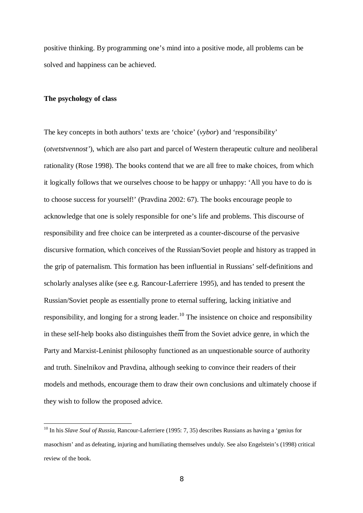positive thinking. By programming one's mind into a positive mode, all problems can be solved and happiness can be achieved.

### **The psychology of class**

**.** 

The key concepts in both authors' texts are 'choice' (*vybor*) and 'responsibility' (*otvetstvennost'*), which are also part and parcel of Western therapeutic culture and neoliberal rationality (Rose 1998). The books contend that we are all free to make choices, from which it logically follows that we ourselves choose to be happy or unhappy: 'All you have to do is to choose success for yourself!' (Pravdina 2002: 67). The books encourage people to acknowledge that one is solely responsible for one's life and problems. This discourse of responsibility and free choice can be interpreted as a counter-discourse of the pervasive discursive formation, which conceives of the Russian/Soviet people and history as trapped in the grip of paternalism. This formation has been influential in Russians' self-definitions and scholarly analyses alike (see e.g. Rancour-Laferriere 1995), and has tended to present the Russian/Soviet people as essentially prone to eternal suffering, lacking initiative and responsibility, and longing for a strong leader.<sup>[10](#page-7-0)</sup> The insistence on choice and responsibility in these self-help books also distinguishes them from the Soviet advice genre, in which the Party and Marxist-Leninist philosophy functioned as an unquestionable source of authority and truth. Sinelnikov and Pravdina, although seeking to convince their readers of their models and methods, encourage them to draw their own conclusions and ultimately choose if they wish to follow the proposed advice.

<span id="page-7-0"></span><sup>&</sup>lt;sup>10</sup> In his *Slave Soul of Russia*, Rancour-Laferriere (1995: 7, 35) describes Russians as having a 'genius for masochism' and as defeating, injuring and humiliating themselves unduly. See also Engelstein's (1998) critical review of the book.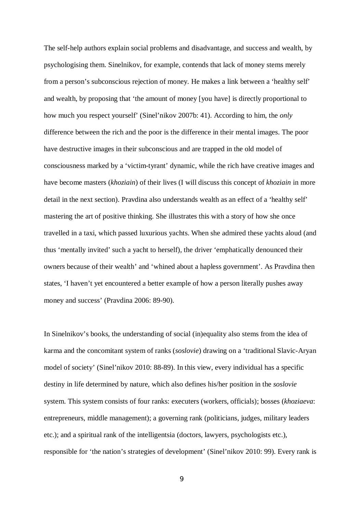The self-help authors explain social problems and disadvantage, and success and wealth, by psychologising them. Sinelnikov, for example, contends that lack of money stems merely from a person's subconscious rejection of money. He makes a link between a 'healthy self' and wealth, by proposing that 'the amount of money [you have] is directly proportional to how much you respect yourself' (Sinel'nikov 2007b: 41). According to him, the *only* difference between the rich and the poor is the difference in their mental images. The poor have destructive images in their subconscious and are trapped in the old model of consciousness marked by a 'victim-tyrant' dynamic, while the rich have creative images and have become masters (*khoziain*) of their lives (I will discuss this concept of *khoziain* in more detail in the next section). Pravdina also understands wealth as an effect of a 'healthy self' mastering the art of positive thinking. She illustrates this with a story of how she once travelled in a taxi, which passed luxurious yachts. When she admired these yachts aloud (and thus 'mentally invited' such a yacht to herself), the driver 'emphatically denounced their owners because of their wealth' and 'whined about a hapless government'. As Pravdina then states, 'I haven't yet encountered a better example of how a person literally pushes away money and success' (Pravdina 2006: 89-90).

In Sinelnikov's books, the understanding of social (in)equality also stems from the idea of karma and the concomitant system of ranks (*soslovie*) drawing on a 'traditional Slavic-Aryan model of society' (Sinel'nikov 2010: 88-89). In this view, every individual has a specific destiny in life determined by nature, which also defines his/her position in the *soslovie*  system. This system consists of four ranks: executers (workers, officials); bosses (*khoziaeva*: entrepreneurs, middle management); a governing rank (politicians, judges, military leaders etc.); and a spiritual rank of the intelligentsia (doctors, lawyers, psychologists etc.), responsible for 'the nation's strategies of development' (Sinel'nikov 2010: 99). Every rank is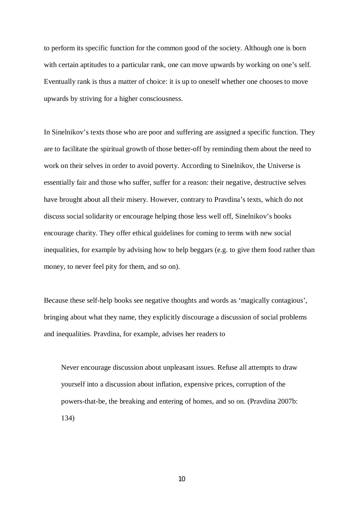to perform its specific function for the common good of the society. Although one is born with certain aptitudes to a particular rank, one can move upwards by working on one's self. Eventually rank is thus a matter of choice: it is up to oneself whether one chooses to move upwards by striving for a higher consciousness.

In Sinelnikov's texts those who are poor and suffering are assigned a specific function. They are to facilitate the spiritual growth of those better-off by reminding them about the need to work on their selves in order to avoid poverty. According to Sinelnikov, the Universe is essentially fair and those who suffer, suffer for a reason: their negative, destructive selves have brought about all their misery. However, contrary to Pravdina's texts, which do not discuss social solidarity or encourage helping those less well off, Sinelnikov's books encourage charity. They offer ethical guidelines for coming to terms with new social inequalities, for example by advising how to help beggars (e.g. to give them food rather than money, to never feel pity for them, and so on).

Because these self-help books see negative thoughts and words as 'magically contagious', bringing about what they name, they explicitly discourage a discussion of social problems and inequalities. Pravdina, for example, advises her readers to

Never encourage discussion about unpleasant issues. Refuse all attempts to draw yourself into a discussion about inflation, expensive prices, corruption of the powers-that-be, the breaking and entering of homes, and so on. (Pravdina 2007b: 134)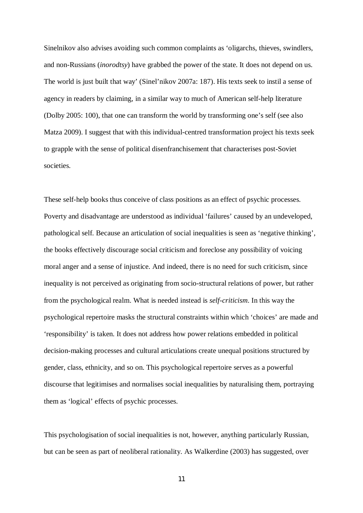Sinelnikov also advises avoiding such common complaints as 'oligarchs, thieves, swindlers, and non-Russians (*inorodtsy*) have grabbed the power of the state. It does not depend on us. The world is just built that way' (Sinel'nikov 2007a: 187). His texts seek to instil a sense of agency in readers by claiming, in a similar way to much of American self-help literature (Dolby 2005: 100), that one can transform the world by transforming one's self (see also Matza 2009). I suggest that with this individual-centred transformation project his texts seek to grapple with the sense of political disenfranchisement that characterises post-Soviet societies.

These self-help books thus conceive of class positions as an effect of psychic processes. Poverty and disadvantage are understood as individual 'failures' caused by an undeveloped, pathological self. Because an articulation of social inequalities is seen as 'negative thinking', the books effectively discourage social criticism and foreclose any possibility of voicing moral anger and a sense of injustice. And indeed, there is no need for such criticism, since inequality is not perceived as originating from socio-structural relations of power, but rather from the psychological realm. What is needed instead is *self-criticism*. In this way the psychological repertoire masks the structural constraints within which 'choices' are made and 'responsibility' is taken. It does not address how power relations embedded in political decision-making processes and cultural articulations create unequal positions structured by gender, class, ethnicity, and so on. This psychological repertoire serves as a powerful discourse that legitimises and normalises social inequalities by naturalising them, portraying them as 'logical' effects of psychic processes.

This psychologisation of social inequalities is not, however, anything particularly Russian, but can be seen as part of neoliberal rationality. As Walkerdine (2003) has suggested, over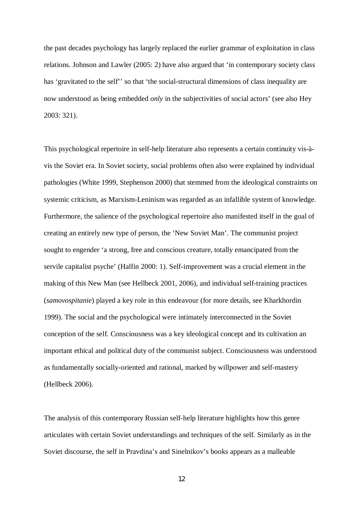the past decades psychology has largely replaced the earlier grammar of exploitation in class relations. Johnson and Lawler (2005: 2) have also argued that 'in contemporary society class has 'gravitated to the self'' so that 'the social-structural dimensions of class inequality are now understood as being embedded *only* in the subjectivities of social actors' (see also Hey 2003: 321).

This psychological repertoire in self-help literature also represents a certain continuity vis-àvis the Soviet era. In Soviet society, social problems often also were explained by individual pathologies (White 1999, Stephenson 2000) that stemmed from the ideological constraints on systemic criticism, as Marxism-Leninism was regarded as an infallible system of knowledge. Furthermore, the salience of the psychological repertoire also manifested itself in the goal of creating an entirely new type of person, the 'New Soviet Man'. The communist project sought to engender 'a strong, free and conscious creature, totally emancipated from the servile capitalist psyche' (Halfin 2000: 1). Self-improvement was a crucial element in the making of this New Man (see Hellbeck 2001, 2006), and individual self-training practices (*samovospitanie*) played a key role in this endeavour (for more details, see Kharkhordin 1999). The social and the psychological were intimately interconnected in the Soviet conception of the self. Consciousness was a key ideological concept and its cultivation an important ethical and political duty of the communist subject. Consciousness was understood as fundamentally socially-oriented and rational, marked by willpower and self-mastery (Hellbeck 2006).

The analysis of this contemporary Russian self-help literature highlights how this genre articulates with certain Soviet understandings and techniques of the self. Similarly as in the Soviet discourse, the self in Pravdina's and Sinelnikov's books appears as a malleable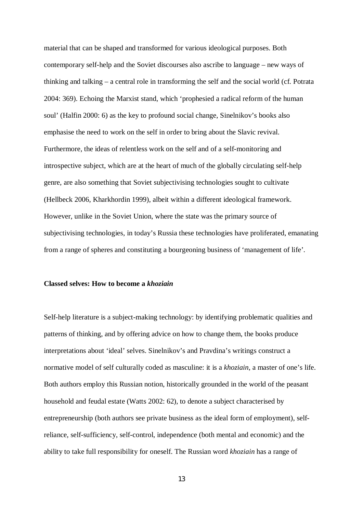material that can be shaped and transformed for various ideological purposes. Both contemporary self-help and the Soviet discourses also ascribe to language – new ways of thinking and talking – a central role in transforming the self and the social world (cf. Potrata 2004: 369). Echoing the Marxist stand, which 'prophesied a radical reform of the human soul' (Halfin 2000: 6) as the key to profound social change, Sinelnikov's books also emphasise the need to work on the self in order to bring about the Slavic revival. Furthermore, the ideas of relentless work on the self and of a self-monitoring and introspective subject, which are at the heart of much of the globally circulating self-help genre, are also something that Soviet subjectivising technologies sought to cultivate (Hellbeck 2006, Kharkhordin 1999), albeit within a different ideological framework. However, unlike in the Soviet Union, where the state was the primary source of subjectivising technologies, in today's Russia these technologies have proliferated, emanating from a range of spheres and constituting a bourgeoning business of 'management of life'.

#### **Classed selves: How to become a** *khoziain*

Self-help literature is a subject-making technology: by identifying problematic qualities and patterns of thinking, and by offering advice on how to change them, the books produce interpretations about 'ideal' selves. Sinelnikov's and Pravdina's writings construct a normative model of self culturally coded as masculine: it is a *khoziain*, a master of one's life. Both authors employ this Russian notion, historically grounded in the world of the peasant household and feudal estate (Watts 2002: 62), to denote a subject characterised by entrepreneurship (both authors see private business as the ideal form of employment), selfreliance, self-sufficiency, self-control, independence (both mental and economic) and the ability to take full responsibility for oneself. The Russian word *khoziain* has a range of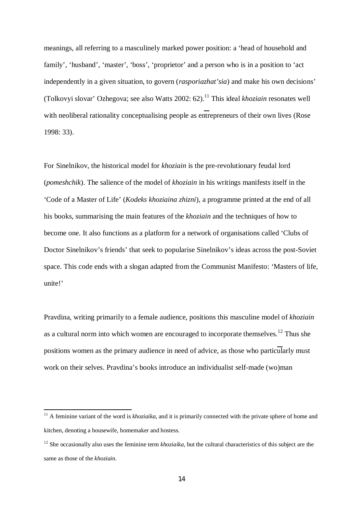meanings, all referring to a masculinely marked power position: a 'head of household and family', 'husband', 'master', 'boss', 'proprietor' and a person who is in a position to 'act independently in a given situation, to govern (*rasporiazhat'sia*) and make his own decisions' (Tolkovyi slovar' Ozhegova; see also Watts 2002: 62).[11](#page-13-0) This ideal *khoziain* resonates well with neoliberal rationality conceptualising people as entrepreneurs of their own lives (Rose 1998: 33).

For Sinelnikov, the historical model for *khoziain* is the pre-revolutionary feudal lord (*pomeshchik*). The salience of the model of *khoziain* in his writings manifests itself in the 'Code of a Master of Life' (*Kodeks khoziaina zhizni*), a programme printed at the end of all his books, summarising the main features of the *khoziain* and the techniques of how to become one. It also functions as a platform for a network of organisations called 'Clubs of Doctor Sinelnikov's friends' that seek to popularise Sinelnikov's ideas across the post-Soviet space. This code ends with a slogan adapted from the Communist Manifesto: 'Masters of life, unite!'

Pravdina, writing primarily to a female audience, positions this masculine model of *khoziain* as a cultural norm into which women are encouraged to incorporate themselves.<sup>[12](#page-13-1)</sup> Thus she positions women as the primary audience in need of advice, as those who particularly must work on their selves. Pravdina's books introduce an individualist self-made (wo)man

<u>.</u>

<span id="page-13-0"></span><sup>&</sup>lt;sup>11</sup> A feminine variant of the word is *khoziaika*, and it is primarily connected with the private sphere of home and kitchen, denoting a housewife, homemaker and hostess.

<span id="page-13-1"></span><sup>&</sup>lt;sup>12</sup> She occasionally also uses the feminine term *khoziaika*, but the cultural characteristics of this subject are the same as those of the *khoziain*.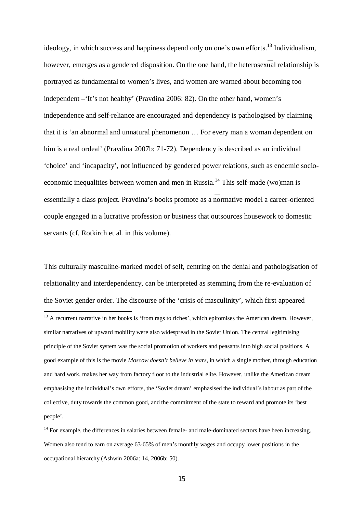ideology, in which success and happiness depend only on one's own efforts.<sup>[13](#page-14-0)</sup> Individualism. however, emerges as a gendered disposition. On the one hand, the heterosexual relationship is portrayed as fundamental to women's lives, and women are warned about becoming too independent –'It's not healthy' (Pravdina 2006: 82). On the other hand, women's independence and self-reliance are encouraged and dependency is pathologised by claiming that it is 'an abnormal and unnatural phenomenon … For every man a woman dependent on him is a real ordeal' (Pravdina 2007b: 71-72). Dependency is described as an individual 'choice' and 'incapacity', not influenced by gendered power relations, such as endemic socio-economic inequalities between women and men in Russia.<sup>[14](#page-14-1)</sup> This self-made (wo)man is essentially a class project. Pravdina's books promote as a normative model a career-oriented couple engaged in a lucrative profession or business that outsources housework to domestic servants (cf. Rotkirch et al. in this volume).

This culturally masculine-marked model of self, centring on the denial and pathologisation of relationality and interdependency, can be interpreted as stemming from the re-evaluation of the Soviet gender order. The discourse of the 'crisis of masculinity', which first appeared

 $\overline{a}$ 

<span id="page-14-0"></span><sup>&</sup>lt;sup>13</sup> A recurrent narrative in her books is 'from rags to riches', which epitomises the American dream. However, similar narratives of upward mobility were also widespread in the Soviet Union. The central legitimising principle of the Soviet system was the social promotion of workers and peasants into high social positions. A good example of this is the movie *Moscow doesn't believe in tears*, in which a single mother, through education and hard work, makes her way from factory floor to the industrial elite. However, unlike the American dream emphasising the individual's own efforts, the 'Soviet dream' emphasised the individual's labour as part of the collective, duty towards the common good, and the commitment of the state to reward and promote its 'best people'.

<span id="page-14-1"></span><sup>&</sup>lt;sup>14</sup> For example, the differences in salaries between female- and male-dominated sectors have been increasing. Women also tend to earn on average 63-65% of men's monthly wages and occupy lower positions in the occupational hierarchy (Ashwin 2006a: 14, 2006b: 50).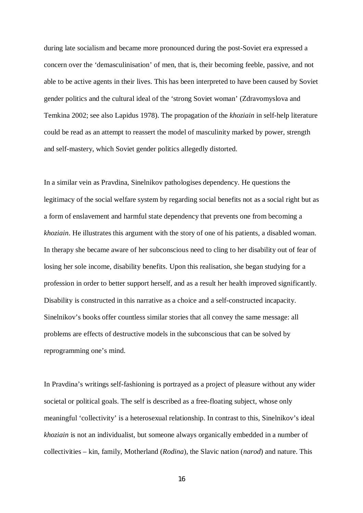during late socialism and became more pronounced during the post-Soviet era expressed a concern over the 'demasculinisation' of men, that is, their becoming feeble, passive, and not able to be active agents in their lives. This has been interpreted to have been caused by Soviet gender politics and the cultural ideal of the 'strong Soviet woman' (Zdravomyslova and Temkina 2002; see also Lapidus 1978). The propagation of the *khoziain* in self-help literature could be read as an attempt to reassert the model of masculinity marked by power, strength and self-mastery, which Soviet gender politics allegedly distorted.

In a similar vein as Pravdina, Sinelnikov pathologises dependency. He questions the legitimacy of the social welfare system by regarding social benefits not as a social right but as a form of enslavement and harmful state dependency that prevents one from becoming a *khoziain*. He illustrates this argument with the story of one of his patients, a disabled woman. In therapy she became aware of her subconscious need to cling to her disability out of fear of losing her sole income, disability benefits. Upon this realisation, she began studying for a profession in order to better support herself, and as a result her health improved significantly. Disability is constructed in this narrative as a choice and a self-constructed incapacity. Sinelnikov's books offer countless similar stories that all convey the same message: all problems are effects of destructive models in the subconscious that can be solved by reprogramming one's mind.

In Pravdina's writings self-fashioning is portrayed as a project of pleasure without any wider societal or political goals. The self is described as a free-floating subject, whose only meaningful 'collectivity' is a heterosexual relationship. In contrast to this, Sinelnikov's ideal *khoziain* is not an individualist, but someone always organically embedded in a number of collectivities – kin, family, Motherland (*Rodina*), the Slavic nation (*narod*) and nature. This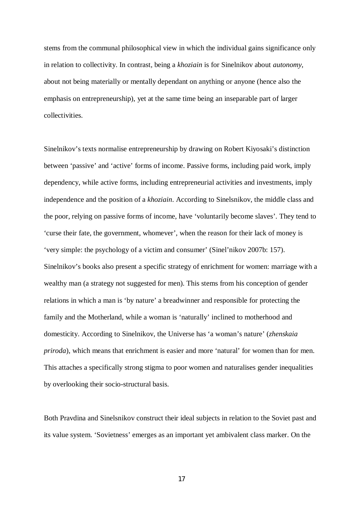stems from the communal philosophical view in which the individual gains significance only in relation to collectivity. In contrast, being a *khoziain* is for Sinelnikov about *autonomy*, about not being materially or mentally dependant on anything or anyone (hence also the emphasis on entrepreneurship), yet at the same time being an inseparable part of larger collectivities.

Sinelnikov's texts normalise entrepreneurship by drawing on Robert Kiyosaki's distinction between 'passive' and 'active' forms of income. Passive forms, including paid work, imply dependency, while active forms, including entrepreneurial activities and investments, imply independence and the position of a *khoziain*. According to Sinelsnikov, the middle class and the poor, relying on passive forms of income, have 'voluntarily become slaves'. They tend to 'curse their fate, the government, whomever', when the reason for their lack of money is 'very simple: the psychology of a victim and consumer' (Sinel'nikov 2007b: 157). Sinelnikov's books also present a specific strategy of enrichment for women: marriage with a wealthy man (a strategy not suggested for men). This stems from his conception of gender relations in which a man is 'by nature' a breadwinner and responsible for protecting the family and the Motherland, while a woman is 'naturally' inclined to motherhood and domesticity. According to Sinelnikov, the Universe has 'a woman's nature' (*zhenskaia priroda*), which means that enrichment is easier and more 'natural' for women than for men. This attaches a specifically strong stigma to poor women and naturalises gender inequalities by overlooking their socio-structural basis.

Both Pravdina and Sinelsnikov construct their ideal subjects in relation to the Soviet past and its value system. 'Sovietness' emerges as an important yet ambivalent class marker. On the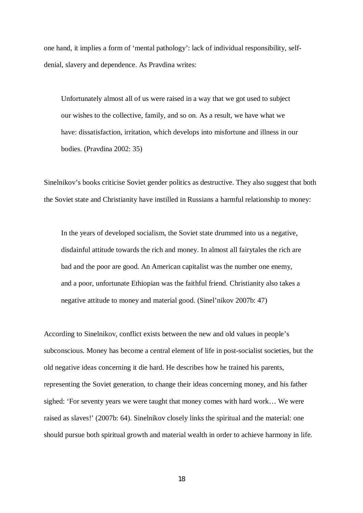one hand, it implies a form of 'mental pathology': lack of individual responsibility, selfdenial, slavery and dependence. As Pravdina writes:

Unfortunately almost all of us were raised in a way that we got used to subject our wishes to the collective, family, and so on. As a result, we have what we have: dissatisfaction, irritation, which develops into misfortune and illness in our bodies. (Pravdina 2002: 35)

Sinelnikov's books criticise Soviet gender politics as destructive. They also suggest that both the Soviet state and Christianity have instilled in Russians a harmful relationship to money:

In the years of developed socialism, the Soviet state drummed into us a negative, disdainful attitude towards the rich and money. In almost all fairytales the rich are bad and the poor are good. An American capitalist was the number one enemy, and a poor, unfortunate Ethiopian was the faithful friend. Christianity also takes a negative attitude to money and material good. (Sinel'nikov 2007b: 47)

According to Sinelnikov, conflict exists between the new and old values in people's subconscious. Money has become a central element of life in post-socialist societies, but the old negative ideas concerning it die hard. He describes how he trained his parents, representing the Soviet generation, to change their ideas concerning money, and his father sighed: 'For seventy years we were taught that money comes with hard work… We were raised as slaves!' (2007b: 64). Sinelnikov closely links the spiritual and the material: one should pursue both spiritual growth and material wealth in order to achieve harmony in life.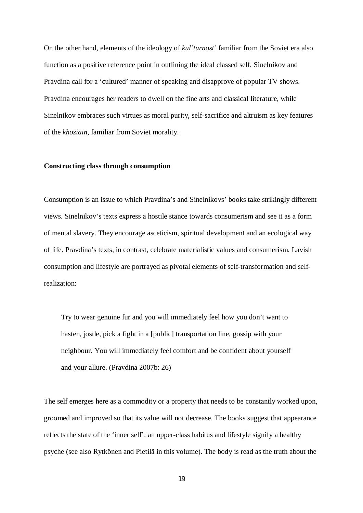On the other hand, elements of the ideology of *kul'turnost'* familiar from the Soviet era also function as a positive reference point in outlining the ideal classed self. Sinelnikov and Pravdina call for a 'cultured' manner of speaking and disapprove of popular TV shows. Pravdina encourages her readers to dwell on the fine arts and classical literature, while Sinelnikov embraces such virtues as moral purity, self-sacrifice and altruism as key features of the *khoziain*, familiar from Soviet morality.

## **Constructing class through consumption**

Consumption is an issue to which Pravdina's and Sinelnikovs' books take strikingly different views. Sinelnikov's texts express a hostile stance towards consumerism and see it as a form of mental slavery. They encourage asceticism, spiritual development and an ecological way of life. Pravdina's texts, in contrast, celebrate materialistic values and consumerism. Lavish consumption and lifestyle are portrayed as pivotal elements of self-transformation and selfrealization:

Try to wear genuine fur and you will immediately feel how you don't want to hasten, jostle, pick a fight in a [public] transportation line, gossip with your neighbour. You will immediately feel comfort and be confident about yourself and your allure. (Pravdina 2007b: 26)

The self emerges here as a commodity or a property that needs to be constantly worked upon, groomed and improved so that its value will not decrease. The books suggest that appearance reflects the state of the 'inner self': an upper-class habitus and lifestyle signify a healthy psyche (see also Rytkönen and Pietilä in this volume). The body is read as the truth about the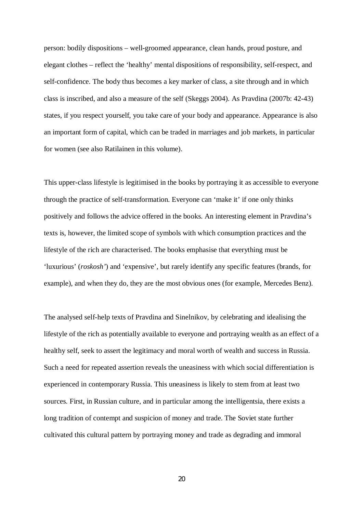person: bodily dispositions – well-groomed appearance, clean hands, proud posture, and elegant clothes – reflect the 'healthy' mental dispositions of responsibility, self-respect, and self-confidence. The body thus becomes a key marker of class, a site through and in which class is inscribed, and also a measure of the self (Skeggs 2004). As Pravdina (2007b: 42-43) states, if you respect yourself, you take care of your body and appearance. Appearance is also an important form of capital, which can be traded in marriages and job markets, in particular for women (see also Ratilainen in this volume).

This upper-class lifestyle is legitimised in the books by portraying it as accessible to everyone through the practice of self-transformation. Everyone can 'make it' if one only thinks positively and follows the advice offered in the books. An interesting element in Pravdina's texts is, however, the limited scope of symbols with which consumption practices and the lifestyle of the rich are characterised. The books emphasise that everything must be 'luxurious' (*roskosh'*) and 'expensive', but rarely identify any specific features (brands, for example), and when they do, they are the most obvious ones (for example, Mercedes Benz).

The analysed self-help texts of Pravdina and Sinelnikov, by celebrating and idealising the lifestyle of the rich as potentially available to everyone and portraying wealth as an effect of a healthy self, seek to assert the legitimacy and moral worth of wealth and success in Russia. Such a need for repeated assertion reveals the uneasiness with which social differentiation is experienced in contemporary Russia. This uneasiness is likely to stem from at least two sources. First, in Russian culture, and in particular among the intelligentsia, there exists a long tradition of contempt and suspicion of money and trade. The Soviet state further cultivated this cultural pattern by portraying money and trade as degrading and immoral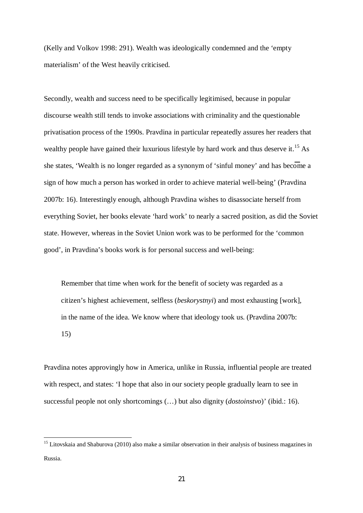(Kelly and Volkov 1998: 291). Wealth was ideologically condemned and the 'empty materialism' of the West heavily criticised.

Secondly, wealth and success need to be specifically legitimised, because in popular discourse wealth still tends to invoke associations with criminality and the questionable privatisation process of the 1990s. Pravdina in particular repeatedly assures her readers that wealthy people have gained their luxurious lifestyle by hard work and thus deserve it.<sup>[15](#page-20-0)</sup> As she states, 'Wealth is no longer regarded as a synonym of 'sinful money' and has become a sign of how much a person has worked in order to achieve material well-being' (Pravdina 2007b: 16). Interestingly enough, although Pravdina wishes to disassociate herself from everything Soviet, her books elevate 'hard work' to nearly a sacred position, as did the Soviet state. However, whereas in the Soviet Union work was to be performed for the 'common good', in Pravdina's books work is for personal success and well-being:

Remember that time when work for the benefit of society was regarded as a citizen's highest achievement, selfless (*beskorystnyi*) and most exhausting [work], in the name of the idea. We know where that ideology took us. (Pravdina 2007b: 15)

Pravdina notes approvingly how in America, unlike in Russia, influential people are treated with respect, and states: 'I hope that also in our society people gradually learn to see in successful people not only shortcomings (…) but also dignity (*dostoinstvo*)' (ibid.: 16).

 $\overline{a}$ 

<span id="page-20-0"></span> $15$  Litovskaia and Shaburova (2010) also make a similar observation in their analysis of business magazines in Russia.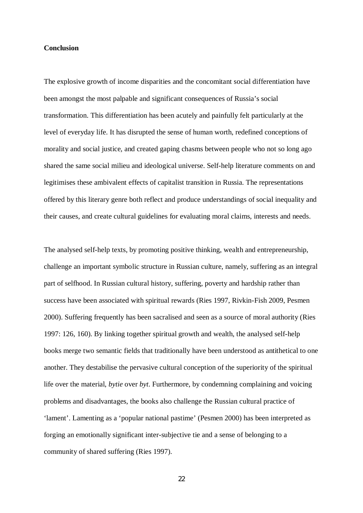## **Conclusion**

The explosive growth of income disparities and the concomitant social differentiation have been amongst the most palpable and significant consequences of Russia's social transformation. This differentiation has been acutely and painfully felt particularly at the level of everyday life. It has disrupted the sense of human worth, redefined conceptions of morality and social justice, and created gaping chasms between people who not so long ago shared the same social milieu and ideological universe. Self-help literature comments on and legitimises these ambivalent effects of capitalist transition in Russia. The representations offered by this literary genre both reflect and produce understandings of social inequality and their causes, and create cultural guidelines for evaluating moral claims, interests and needs.

The analysed self-help texts, by promoting positive thinking, wealth and entrepreneurship, challenge an important symbolic structure in Russian culture, namely, suffering as an integral part of selfhood. In Russian cultural history, suffering, poverty and hardship rather than success have been associated with spiritual rewards (Ries 1997, Rivkin-Fish 2009, Pesmen 2000). Suffering frequently has been sacralised and seen as a source of moral authority (Ries 1997: 126, 160). By linking together spiritual growth and wealth, the analysed self-help books merge two semantic fields that traditionally have been understood as antithetical to one another. They destabilise the pervasive cultural conception of the superiority of the spiritual life over the material, *bytie* over *byt*. Furthermore, by condemning complaining and voicing problems and disadvantages, the books also challenge the Russian cultural practice of 'lament'. Lamenting as a 'popular national pastime' (Pesmen 2000) has been interpreted as forging an emotionally significant inter-subjective tie and a sense of belonging to a community of shared suffering (Ries 1997).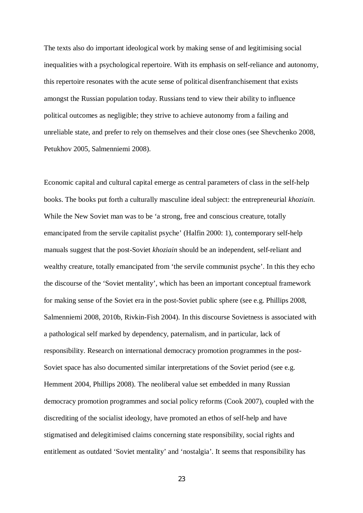The texts also do important ideological work by making sense of and legitimising social inequalities with a psychological repertoire. With its emphasis on self-reliance and autonomy, this repertoire resonates with the acute sense of political disenfranchisement that exists amongst the Russian population today. Russians tend to view their ability to influence political outcomes as negligible; they strive to achieve autonomy from a failing and unreliable state, and prefer to rely on themselves and their close ones (see Shevchenko 2008, Petukhov 2005, Salmenniemi 2008).

Economic capital and cultural capital emerge as central parameters of class in the self-help books. The books put forth a culturally masculine ideal subject: the entrepreneurial *khoziain*. While the New Soviet man was to be 'a strong, free and conscious creature, totally emancipated from the servile capitalist psyche' (Halfin 2000: 1), contemporary self-help manuals suggest that the post-Soviet *khoziain* should be an independent, self-reliant and wealthy creature, totally emancipated from 'the servile communist psyche'. In this they echo the discourse of the 'Soviet mentality', which has been an important conceptual framework for making sense of the Soviet era in the post-Soviet public sphere (see e.g. Phillips 2008, Salmenniemi 2008, 2010b, Rivkin-Fish 2004). In this discourse Sovietness is associated with a pathological self marked by dependency, paternalism, and in particular, lack of responsibility. Research on international democracy promotion programmes in the post-Soviet space has also documented similar interpretations of the Soviet period (see e.g. Hemment 2004, Phillips 2008). The neoliberal value set embedded in many Russian democracy promotion programmes and social policy reforms (Cook 2007), coupled with the discrediting of the socialist ideology, have promoted an ethos of self-help and have stigmatised and delegitimised claims concerning state responsibility, social rights and entitlement as outdated 'Soviet mentality' and 'nostalgia'. It seems that responsibility has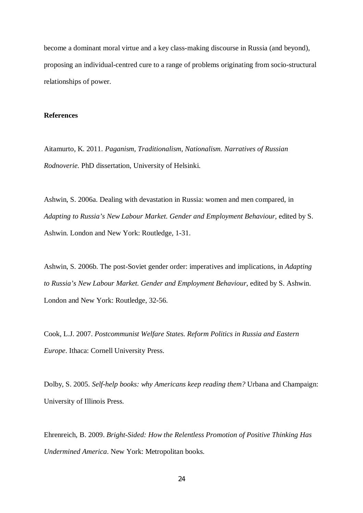become a dominant moral virtue and a key class-making discourse in Russia (and beyond), proposing an individual-centred cure to a range of problems originating from socio-structural relationships of power.

### **References**

Aitamurto, K. 2011. *Paganism, Traditionalism, Nationalism. Narratives of Russian Rodnoverie.* PhD dissertation, University of Helsinki.

Ashwin, S. 2006a. Dealing with devastation in Russia: women and men compared, in *Adapting to Russia's New Labour Market. Gender and Employment Behaviour*, edited by S. Ashwin. London and New York: Routledge, 1-31.

Ashwin, S. 2006b. The post-Soviet gender order: imperatives and implications, in *Adapting to Russia's New Labour Market. Gender and Employment Behaviour*, edited by S. Ashwin. London and New York: Routledge, 32-56.

Cook, L.J. 2007. *Postcommunist Welfare States. Reform Politics in Russia and Eastern Europe*. Ithaca: Cornell University Press.

Dolby, S. 2005. *Self-help books: why Americans keep reading them?* Urbana and Champaign: University of Illinois Press.

Ehrenreich, B. 2009. *Bright-Sided: How the Relentless Promotion of Positive Thinking Has Undermined America*. New York: Metropolitan books.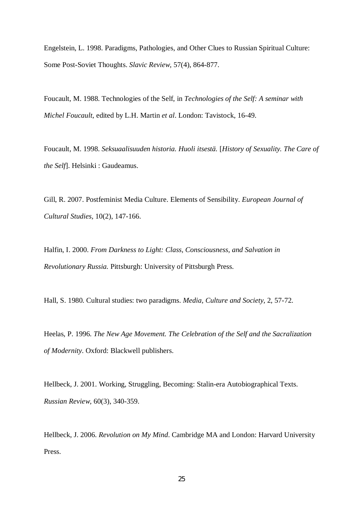Engelstein, L. 1998. Paradigms, Pathologies, and Other Clues to Russian Spiritual Culture: Some Post-Soviet Thoughts. *Slavic Review,* 57(4), 864-877.

Foucault, M. 1988. Technologies of the Self, in *Technologies of the Self: A seminar with Michel Foucault*, edited by L.H. Martin *et al*. London: Tavistock, 16-49.

Foucault, M. 1998. *Seksuaalisuuden historia. Huoli itsestä.* [*History of Sexuality. The Care of the Self*]. Helsinki : Gaudeamus.

Gill, R. 2007. Postfeminist Media Culture. Elements of Sensibility. *European Journal of Cultural Studies,* 10(2), 147-166.

Halfin, I. 2000. *From Darkness to Light: Class, Consciousness, and Salvation in Revolutionary Russia.* Pittsburgh: University of Pittsburgh Press.

Hall, S. 1980. Cultural studies: two paradigms. *Media, Culture and Society,* 2, 57-72.

Heelas, P. 1996. *The New Age Movement. The Celebration of the Self and the Sacralization of Modernity*. Oxford: Blackwell publishers.

Hellbeck, J. 2001. Working, Struggling, Becoming: Stalin-era Autobiographical Texts. *Russian Review,* 60(3), 340-359.

Hellbeck, J. 2006. *Revolution on My Mind*. Cambridge MA and London: Harvard University Press.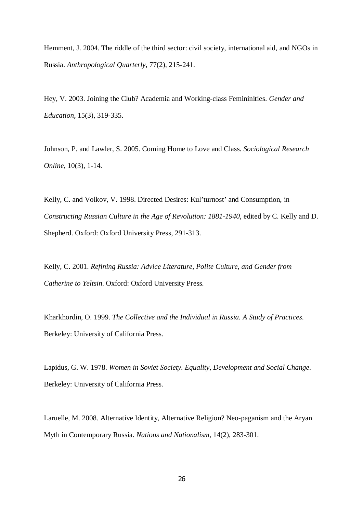Hemment, J. 2004. The riddle of the third sector: civil society, international aid, and NGOs in Russia. *Anthropological Quarterly,* 77(2), 215-241.

Hey, V. 2003. Joining the Club? Academia and Working-class Femininities. *Gender and Education,* 15(3), 319-335.

Johnson, P. and Lawler, S. 2005. Coming Home to Love and Class. *Sociological Research Online,* 10(3), 1-14.

Kelly, C. and Volkov, V. 1998. Directed Desires: Kul'turnost' and Consumption, in *Constructing Russian Culture in the Age of Revolution: 1881-1940*, edited by C. Kelly and D. Shepherd. Oxford: Oxford University Press, 291-313.

Kelly, C. 2001. *Refining Russia: Advice Literature, Polite Culture, and Gender from Catherine to Yeltsin*. Oxford: Oxford University Press.

Kharkhordin, O. 1999. *The Collective and the Individual in Russia. A Study of Practices*. Berkeley: University of California Press.

Lapidus, G. W. 1978. *Women in Soviet Society. Equality, Development and Social Change*. Berkeley: University of California Press.

Laruelle, M. 2008. Alternative Identity, Alternative Religion? Neo-paganism and the Aryan Myth in Contemporary Russia. *Nations and Nationalism,* 14(2), 283-301.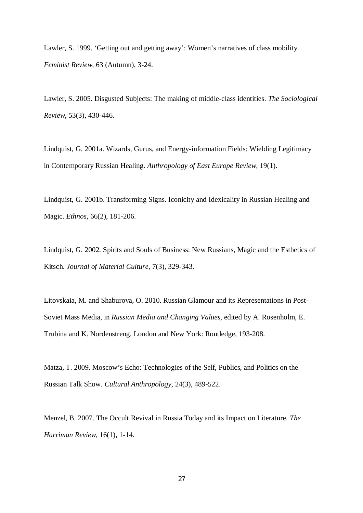Lawler, S. 1999. 'Getting out and getting away': Women's narratives of class mobility. *Feminist Review,* 63 (Autumn), 3-24.

Lawler, S. 2005. Disgusted Subjects: The making of middle-class identities. *The Sociological Review,* 53(3), 430-446.

Lindquist, G. 2001a. Wizards, Gurus, and Energy-information Fields: Wielding Legitimacy in Contemporary Russian Healing. *Anthropology of East Europe Review,* 19(1).

Lindquist, G. 2001b. Transforming Signs. Iconicity and Idexicality in Russian Healing and Magic. *Ethnos,* 66(2), 181-206.

Lindquist, G. 2002. Spirits and Souls of Business: New Russians, Magic and the Esthetics of Kitsch. *Journal of Material Culture,* 7(3), 329-343.

Litovskaia, M. and Shaburova, O. 2010. Russian Glamour and its Representations in Post-Soviet Mass Media, in *Russian Media and Changing Values*, edited by A. Rosenholm, E. Trubina and K. Nordenstreng. London and New York: Routledge, 193-208.

Matza, T. 2009. Moscow's Echo: Technologies of the Self, Publics, and Politics on the Russian Talk Show. *Cultural Anthropology,* 24(3), 489-522.

Menzel, B. 2007. The Occult Revival in Russia Today and its Impact on Literature. *The Harriman Review,* 16(1), 1-14.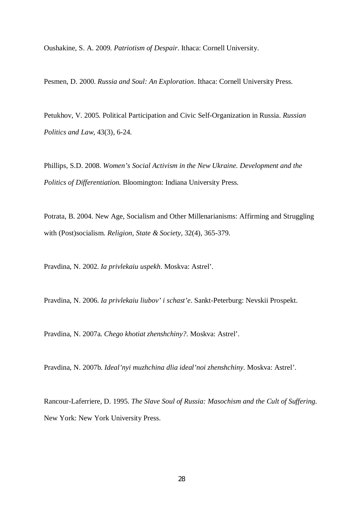Oushakine, S. A. 2009. *Patriotism of Despair*. Ithaca: Cornell University.

Pesmen, D. 2000. *Russia and Soul: An Exploration*. Ithaca: Cornell University Press.

Petukhov, V. 2005. Political Participation and Civic Self-Organization in Russia. *Russian Politics and Law,* 43(3), 6-24.

Phillips, S.D. 2008. *Women's Social Activism in the New Ukraine. Development and the Politics of Differentiation.* Bloomington: Indiana University Press.

Potrata, B. 2004. New Age, Socialism and Other Millenarianisms: Affirming and Struggling with (Post)socialism. *Religion, State & Society,* 32(4), 365-379.

Pravdina, N. 2002. *Ia privlekaiu uspekh*. Moskva: Astrel'.

Pravdina, N. 2006. *Ia privlekaiu liubov' i schast'e*. Sankt-Peterburg: Nevskii Prospekt.

Pravdina, N. 2007a. *Chego khotiat zhenshchiny?*. Moskva: Astrel'.

Pravdina, N. 2007b. *Ideal'nyi muzhchina dlia ideal'noi zhenshchiny*. Moskva: Astrel'.

Rancour-Laferriere, D. 1995. *The Slave Soul of Russia: Masochism and the Cult of Suffering*. New York: New York University Press.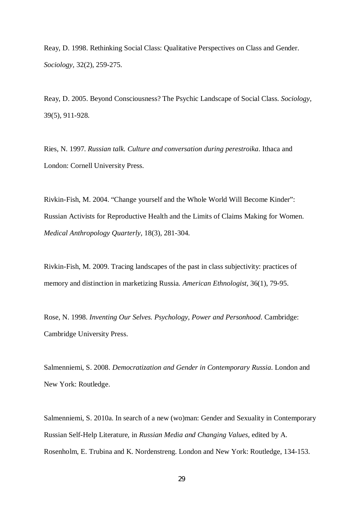Reay, D. 1998. Rethinking Social Class: Qualitative Perspectives on Class and Gender. *Sociology,* 32(2), 259-275.

Reay, D. 2005. Beyond Consciousness? The Psychic Landscape of Social Class. *Sociology,* 39(5), 911-928.

Ries, N. 1997. *Russian talk. Culture and conversation during perestroika*. Ithaca and London: Cornell University Press.

Rivkin-Fish, M. 2004. "Change yourself and the Whole World Will Become Kinder": Russian Activists for Reproductive Health and the Limits of Claims Making for Women. *Medical Anthropology Quarterly,* 18(3), 281-304.

Rivkin-Fish, M. 2009. Tracing landscapes of the past in class subjectivity: practices of memory and distinction in marketizing Russia. *American Ethnologist,* 36(1), 79-95.

Rose, N. 1998. *Inventing Our Selves. Psychology, Power and Personhood*. Cambridge: Cambridge University Press.

Salmenniemi, S. 2008. *Democratization and Gender in Contemporary Russia*. London and New York: Routledge.

Salmenniemi, S. 2010a. In search of a new (wo)man: Gender and Sexuality in Contemporary Russian Self-Help Literature, in *Russian Media and Changing Values*, edited by A. Rosenholm, E. Trubina and K. Nordenstreng. London and New York: Routledge, 134-153.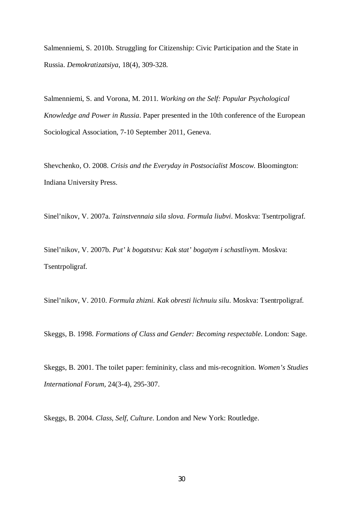Salmenniemi, S. 2010b. Struggling for Citizenship: Civic Participation and the State in Russia. *Demokratizatsiya,* 18(4), 309-328.

Salmenniemi, S. and Vorona, M. 2011. *Working on the Self: Popular Psychological Knowledge and Power in Russia*. Paper presented in the 10th conference of the European Sociological Association, 7-10 September 2011, Geneva.

Shevchenko, O. 2008. *Crisis and the Everyday in Postsocialist Moscow*. Bloomington: Indiana University Press.

Sinel'nikov, V. 2007a. *Tainstvennaia sila slova. Formula liubvi*. Moskva: Tsentrpoligraf.

Sinel'nikov, V. 2007b. *Put' k bogatstvu: Kak stat' bogatym i schastlivym*. Moskva: Tsentrpoligraf.

Sinel'nikov, V. 2010. *Formula zhizni. Kak obresti lichnuiu silu*. Moskva: Tsentrpoligraf.

Skeggs, B. 1998. *Formations of Class and Gender: Becoming respectable*. London: Sage.

Skeggs, B. 2001. The toilet paper: femininity, class and mis-recognition. *Women's Studies International Forum,* 24(3-4), 295-307.

Skeggs, B. 2004. *Class, Self, Culture*. London and New York: Routledge.